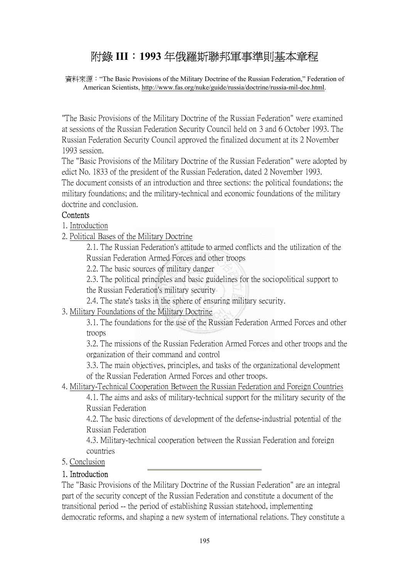# 附錄 **III**:**1993** 年俄羅斯聯邦軍事準則基本章程

資料來源:"The Basic Provisions of the Military Doctrine of the Russian Federation," Federation of American Scientists, http://www.fas.org/nuke/guide/russia/doctrine/russia-mil-doc.html.

"The Basic Provisions of the Military Doctrine of the Russian Federation" were examined at sessions of the Russian Federation Security Council held on 3 and 6 October 1993. The Russian Federation Security Council approved the finalized document at its 2 November 1993 session.

The "Basic Provisions of the Military Doctrine of the Russian Federation" were adopted by edict No. 1833 of the president of the Russian Federation, dated 2 November 1993. The document consists of an introduction and three sections: the political foundations; the

military foundations; and the military-technical and economic foundations of the military doctrine and conclusion.

#### **Contents**

1. Introduction

2. Political Bases of the Military Doctrine

2.1. The Russian Federation's attitude to armed conflicts and the utilization of the Russian Federation Armed Forces and other troops

2.2. The basic sources of military danger

2.3. The political principles and basic guidelines for the sociopolitical support to

the Russian Federation's military security

2.4. The state's tasks in the sphere of ensuring military security.

## 3. Military Foundations of the Military Doctrine

3.1. The foundations for the use of the Russian Federation Armed Forces and other troops

3.2. The missions of the Russian Federation Armed Forces and other troops and the organization of their command and control

3.3. The main objectives, principles, and tasks of the organizational development of the Russian Federation Armed Forces and other troops.

4. Military-Technical Cooperation Between the Russian Federation and Foreign Countries

4.1. The aims and asks of military-technical support for the military security of the Russian Federation

4.2. The basic directions of development of the defense-industrial potential of the Russian Federation

4.3. Military-technical cooperation between the Russian Federation and foreign countries

5. Conclusion

## 1. Introduction

The "Basic Provisions of the Military Doctrine of the Russian Federation" are an integral part of the security concept of the Russian Federation and constitute a document of the transitional period -- the period of establishing Russian statehood, implementing democratic reforms, and shaping a new system of international relations. They constitute a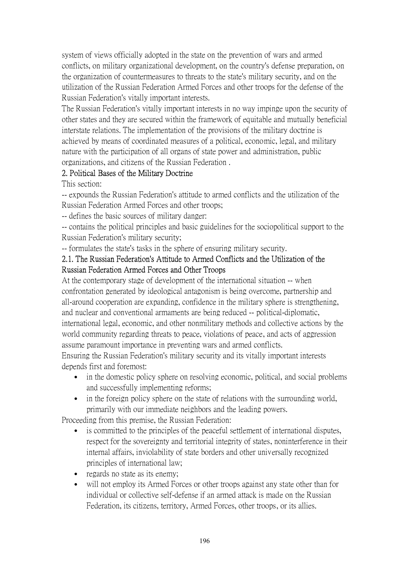system of views officially adopted in the state on the prevention of wars and armed conflicts, on military organizational development, on the country's defense preparation, on the organization of countermeasures to threats to the state's military security, and on the utilization of the Russian Federation Armed Forces and other troops for the defense of the Russian Federation's vitally important interests.

The Russian Federation's vitally important interests in no way impinge upon the security of other states and they are secured within the framework of equitable and mutually beneficial interstate relations. The implementation of the provisions of the military doctrine is achieved by means of coordinated measures of a political, economic, legal, and military nature with the participation of all organs of state power and administration, public organizations, and citizens of the Russian Federation .

## 2. Political Bases of the Military Doctrine

This section:

-- expounds the Russian Federation's attitude to armed conflicts and the utilization of the Russian Federation Armed Forces and other troops;

-- defines the basic sources of military danger:

-- contains the political principles and basic guidelines for the sociopolitical support to the Russian Federation's military security;

-- formulates the state's tasks in the sphere of ensuring military security.

## 2.1. The Russian Federation's Attitude to Armed Conflicts and the Utilization of the Russian Federation Armed Forces and Other Troops

At the contemporary stage of development of the international situation -- when confrontation generated by ideological antagonism is being overcome, partnership and all-around cooperation are expanding, confidence in the military sphere is strengthening, and nuclear and conventional armaments are being reduced -- political-diplomatic, international legal, economic, and other nonmilitary methods and collective actions by the world community regarding threats to peace, violations of peace, and acts of aggression assume paramount importance in preventing wars and armed conflicts.

Ensuring the Russian Federation's military security and its vitally important interests depends first and foremost:

- in the domestic policy sphere on resolving economic, political, and social problems and successfully implementing reforms;
- in the foreign policy sphere on the state of relations with the surrounding world, primarily with our immediate neighbors and the leading powers.

Proceeding from this premise, the Russian Federation:

- is committed to the principles of the peaceful settlement of international disputes, respect for the sovereignty and territorial integrity of states, noninterference in their internal affairs, inviolability of state borders and other universally recognized principles of international law;
- regards no state as its enemy;
- will not employ its Armed Forces or other troops against any state other than for individual or collective self-defense if an armed attack is made on the Russian Federation, its citizens, territory, Armed Forces, other troops, or its allies.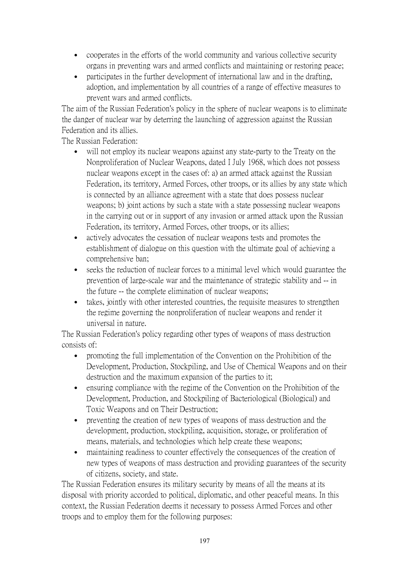- cooperates in the efforts of the world community and various collective security organs in preventing wars and armed conflicts and maintaining or restoring peace;
- participates in the further development of international law and in the drafting, adoption, and implementation by all countries of a range of effective measures to prevent wars and armed conflicts.

The aim of the Russian Federation's policy in the sphere of nuclear weapons is to eliminate the danger of nuclear war by deterring the launching of aggression against the Russian Federation and its allies.

The Russian Federation:

- will not employ its nuclear weapons against any state-party to the Treaty on the Nonproliferation of Nuclear Weapons, dated I July 1968, which does not possess nuclear weapons except in the cases of: a) an armed attack against the Russian Federation, its territory, Armed Forces, other troops, or its allies by any state which is connected by an alliance agreement with a state that does possess nuclear weapons; b) joint actions by such a state with a state possessing nuclear weapons in the carrying out or in support of any invasion or armed attack upon the Russian Federation, its territory, Armed Forces, other troops, or its allies;
- actively advocates the cessation of nuclear weapons tests and promotes the establishment of dialogue on this question with the ultimate goal of achieving a comprehensive ban;
- seeks the reduction of nuclear forces to a minimal level which would guarantee the prevention of large-scale war and the maintenance of strategic stability and -- in the future -- the complete elimination of nuclear weapons;
- takes, jointly with other interested countries, the requisite measures to strengthen the regime governing the nonproliferation of nuclear weapons and render it universal in nature.

The Russian Federation's policy regarding other types of weapons of mass destruction consists of:

- promoting the full implementation of the Convention on the Prohibition of the Development, Production, Stockpiling, and Use of Chemical Weapons and on their destruction and the maximum expansion of the parties to it;
- ensuring compliance with the regime of the Convention on the Prohibition of the Development, Production, and Stockpiling of Bacteriological (Biological) and Toxic Weapons and on Their Destruction;
- preventing the creation of new types of weapons of mass destruction and the development, production, stockpiling, acquisition, storage, or proliferation of means, materials, and technologies which help create these weapons;
- maintaining readiness to counter effectively the consequences of the creation of new types of weapons of mass destruction and providing guarantees of the security of citizens, society, and state.

The Russian Federation ensures its military security by means of all the means at its disposal with priority accorded to political, diplomatic, and other peaceful means. In this context, the Russian Federation deems it necessary to possess Armed Forces and other troops and to employ them for the following purposes: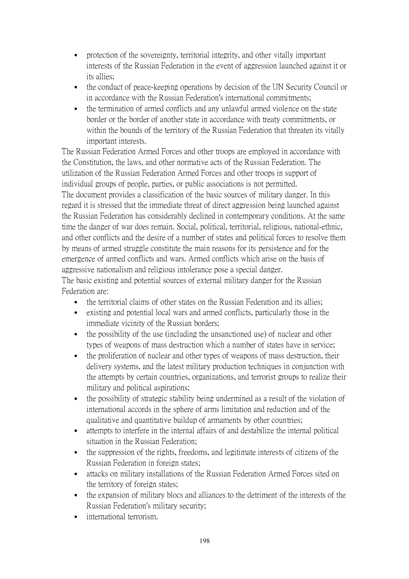- protection of the sovereignty, territorial integrity, and other vitally important interests of the Russian Federation in the event of aggression launched against it or its allies;
- the conduct of peace-keeping operations by decision of the UN Security Council or in accordance with the Russian Federation's international commitments;
- the termination of armed conflicts and any unlawful armed violence on the state border or the border of another state in accordance with treaty commitments, or within the bounds of the territory of the Russian Federation that threaten its vitally important interests.

The Russian Federation Armed Forces and other troops are employed in accordance with the Constitution, the laws, and other normative acts of the Russian Federation. The utilization of the Russian Federation Armed Forces and other troops in support of individual groups of people, parties, or public associations is not permitted. The document provides a classification of the basic sources of military danger. In this regard it is stressed that the immediate threat of direct aggression being launched against the Russian Federation has considerably declined in contemporary conditions. At the same time the danger of war does remain. Social, political, territorial, religious, national-ethnic, and other conflicts and the desire of a number of states and political forces to resolve them by means of armed struggle constitute the main reasons for its persistence and for the emergence of armed conflicts and wars. Armed conflicts which arise on the basis of aggressive nationalism and religious intolerance pose a special danger. The basic existing and potential sources of external military danger for the Russian

Federation are:

- the territorial claims of other states on the Russian Federation and its allies;
- existing and potential local wars and armed conflicts, particularly those in the immediate vicinity of the Russian borders;
- the possibility of the use (including the unsanctioned use) of nuclear and other types of weapons of mass destruction which a number of states have in service;
- the proliferation of nuclear and other types of weapons of mass destruction, their delivery systems, and the latest military production techniques in conjunction with the attempts by certain countries, organizations, and terrorist groups to realize their military and political aspirations;
- the possibility of strategic stability being undermined as a result of the violation of international accords in the sphere of arms limitation and reduction and of the qualitative and quantitative buildup of armaments by other countries;
- attempts to interfere in the internal affairs of and destabilize the internal political situation in the Russian Federation;
- the suppression of the rights, freedoms, and legitimate interests of citizens of the Russian Federation in foreign states;
- attacks on military installations of the Russian Federation Armed Forces sited on the territory of foreign states;
- the expansion of military blocs and alliances to the detriment of the interests of the Russian Federation's military security;
- international terrorism.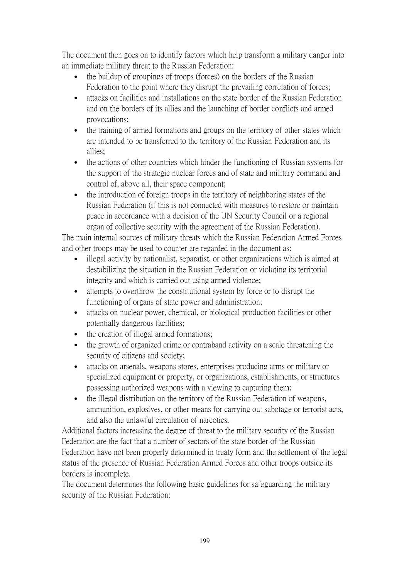The document then goes on to identify factors which help transform a military danger into an immediate military threat to the Russian Federation:

- the buildup of groupings of troops (forces) on the borders of the Russian Federation to the point where they disrupt the prevailing correlation of forces;
- attacks on facilities and installations on the state border of the Russian Federation and on the borders of its allies and the launching of border conflicts and armed provocations;
- the training of armed formations and groups on the territory of other states which are intended to be transferred to the territory of the Russian Federation and its allies;
- the actions of other countries which hinder the functioning of Russian systems for the support of the strategic nuclear forces and of state and military command and control of, above all, their space component;
- the introduction of foreign troops in the territory of neighboring states of the Russian Federation (if this is not connected with measures to restore or maintain peace in accordance with a decision of the UN Security Council or a regional organ of collective security with the agreement of the Russian Federation).

The main internal sources of military threats which the Russian Federation Armed Forces and other troops may be used to counter are regarded in the document as:

- illegal activity by nationalist, separatist, or other organizations which is aimed at destabilizing the situation in the Russian Federation or violating its territorial integrity and which is carried out using armed violence;
- attempts to overthrow the constitutional system by force or to disrupt the functioning of organs of state power and administration;
- attacks on nuclear power, chemical, or biological production facilities or other potentially dangerous facilities;
- the creation of illegal armed formations;
- the growth of organized crime or contraband activity on a scale threatening the security of citizens and society;
- attacks on arsenals, weapons stores, enterprises producing arms or military or specialized equipment or property, or organizations, establishments, or structures possessing authorized weapons with a viewing to capturing them;
- the illegal distribution on the territory of the Russian Federation of weapons, ammunition, explosives, or other means for carrying out sabotage or terrorist acts, and also the unlawful circulation of narcotics.

Additional factors increasing the degree of threat to the military security of the Russian Federation are the fact that a number of sectors of the state border of the Russian Federation have not been properly determined in treaty form and the settlement of the legal status of the presence of Russian Federation Armed Forces and other troops outside its borders is incomplete.

The document determines the following basic guidelines for safeguarding the military security of the Russian Federation: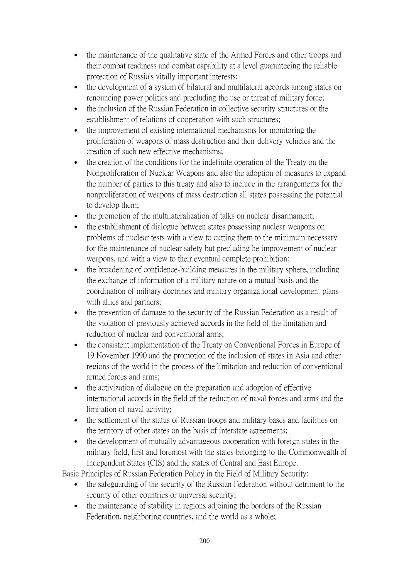- the maintenance of the qualitative state of the Armed Forces and other troops and their combat readiness and combat capability at a level guaranteeing the reliable protection of Russia's vitally important interests;
- the development of a system of bilateral and multilateral accords among states on renouncing power politics and precluding the use or threat of military force;
- the inclusion of the Russian Federation in collective security structures or the establishment of relations of cooperation with such structures;
- the improvement of existing international mechanisms for monitoring the proliferation of weapons of mass destruction and their delivery vehicles and the creation of such new effective mechanisms;
- the creation of the conditions for the indefinite operation of the Treaty on the Nonproliferation of Nuclear Weapons and also the adoption of measures to expand the number of parties to this treaty and also to include in the arrangements for the nonproliferation of weapons of mass destruction all states possessing the potential to develop them;
- the promotion of the multilateralization of talks on nuclear disarmament;
- the establishment of dialogue between states possessing nuclear weapons on problems of nuclear tests with a view to cutting them to the minimum necessary for the maintenance of nuclear safety but precluding he improvement of nuclear weapons, and with a view to their eventual complete prohibition;
- the broadening of confidence-building measures in the military sphere, including the exchange of information of a military nature on a mutual basis and the coordination of military doctrines and military organizational development plans with allies and partners;
- the prevention of damage to the security of the Russian Federation as a result of the violation of previously achieved accords in the field of the limitation and reduction of nuclear and conventional arms;
- the consistent implementation of the Treaty on Conventional Forces in Europe of 19 November 1990 and the promotion of the inclusion of states in Asia and other regions of the world in the process of the limitation and reduction of conventional armed forces and arms;
- the activization of dialogue on the preparation and adoption of effective international accords in the field of the reduction of naval forces and arms and the limitation of naval activity;
- the settlement of the status of Russian troops and military bases and facilities on the territory of other states on the basis of interstate agreements;
- the development of mutually advantageous cooperation with foreign states in the military field, first and foremost with the states belonging to the Commonwealth of Independent States (CIS) and the states of Central and East Europe.

Basic Principles of Russian Federation Policy in the Field of Military Security:

- the safeguarding of the security of the Russian Federation without detriment to the security of other countries or universal security;
- the maintenance of stability in regions adjoining the borders of the Russian Federation, neighboring countries, and the world as a whole;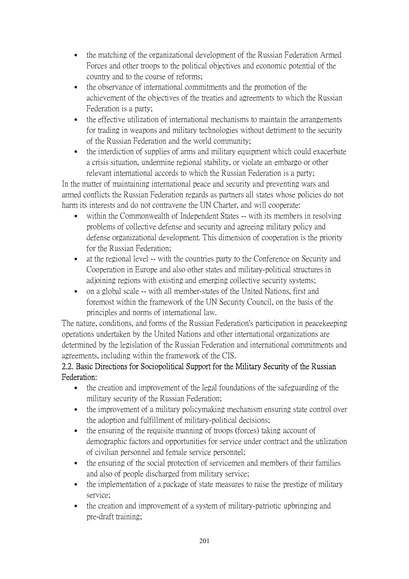- the matching of the organizational development of the Russian Federation Armed Forces and other troops to the political objectives and economic potential of the country and to the course of reforms;
- the observance of international commitments and the promotion of the achievement of the objectives of the treaties and agreements to which the Russian Federation is a party;
- the effective utilization of international mechanisms to maintain the arrangements for trading in weapons and military technologies without detriment to the security of the Russian Federation and the world community;
- the interdiction of supplies of arms and military equipment which could exacerbate a crisis situation, undermine regional stability, or violate an embargo or other relevant international accords to which the Russian Federation is a party;

In the matter of maintaining international peace and security and preventing wars and armed conflicts the Russian Federation regards as partners all states whose policies do not harm its interests and do not contravene the UN Charter, and will cooperate:

- within the Commonwealth of Independent States -- with its members in resolving problems of collective defense and security and agreeing military policy and defense organizational development. This dimension of cooperation is the priority for the Russian Federation;
- at the regional level -- with the countries party to the Conference on Security and Cooperation in Europe and also other states and military-political structures in adjoining regions with existing and emerging collective security systems;
- on a global scale -- with all member-states of the United Nations, first and foremost within the framework of the UN Security Council, on the basis of the principles and norms of international law.

The nature, conditions, and forms of the Russian Federation's participation in peacekeeping operations undertaken by the United Nations and other international organizations are determined by the legislation of the Russian Federation and international commitments and agreements, including within the framework of the CIS.

# 2.2. Basic Directions for Sociopolitical Support for the Military Security of the Russian Federation:

- the creation and improvement of the legal foundations of the safeguarding of the military security of the Russian Federation;
- the improvement of a military policymaking mechanism ensuring state control over the adoption and fulfillment of military-political decisions;
- the ensuring of the requisite manning of troops (forces) taking account of demographic factors and opportunities for service under contract and the utilization of civilian personnel and female service personnel;
- the ensuring of the social protection of servicemen and members of their families and also of people discharged from military service;
- the implementation of a package of state measures to raise the prestige of military service;
- the creation and improvement of a system of military-patriotic upbringing and pre-draft training;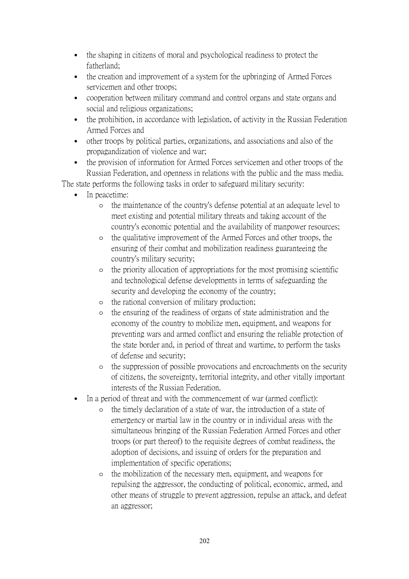- the shaping in citizens of moral and psychological readiness to protect the fatherland;
- the creation and improvement of a system for the upbringing of Armed Forces servicemen and other troops;
- cooperation between military command and control organs and state organs and social and religious organizations;
- the prohibition, in accordance with legislation, of activity in the Russian Federation Armed Forces and
- other troops by political parties, organizations, and associations and also of the propagandization of violence and war;
- the provision of information for Armed Forces servicemen and other troops of the Russian Federation, and openness in relations with the public and the mass media.

The state performs the following tasks in order to safeguard military security:

- In peacetime:
	- o the maintenance of the country's defense potential at an adequate level to meet existing and potential military threats and taking account of the country's economic potential and the availability of manpower resources;
	- o the qualitative improvement of the Armed Forces and other troops, the ensuring of their combat and mobilization readiness guaranteeing the country's military security;
	- o the priority allocation of appropriations for the most promising scientific and technological defense developments in terms of safeguarding the security and developing the economy of the country;
	- o the rational conversion of military production;
	- o the ensuring of the readiness of organs of state administration and the economy of the country to mobilize men, equipment, and weapons for preventing wars and armed conflict and ensuring the reliable protection of the state border and, in period of threat and wartime, to perform the tasks of defense and security;
	- o the suppression of possible provocations and encroachments on the security of citizens, the sovereignty, territorial integrity, and other vitally important interests of the Russian Federation.
- In a period of threat and with the commencement of war (armed conflict):
	- the timely declaration of a state of war, the introduction of a state of emergency or martial law in the country or in individual areas with the simultaneous bringing of the Russian Federation Armed Forces and other troops (or part thereof) to the requisite degrees of combat readiness, the adoption of decisions, and issuing of orders for the preparation and implementation of specific operations;
	- o the mobilization of the necessary men, equipment, and weapons for repulsing the aggressor, the conducting of political, economic, armed, and other means of struggle to prevent aggression, repulse an attack, and defeat an aggressor;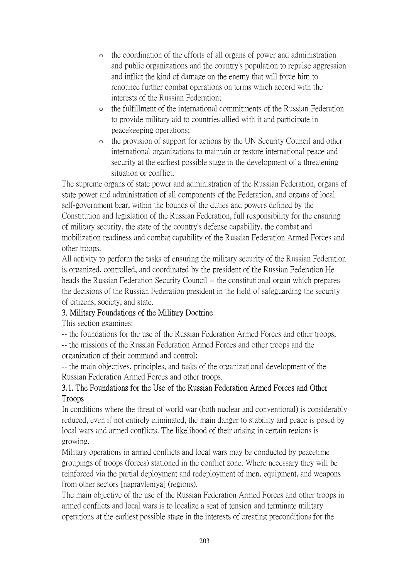- o the coordination of the efforts of all organs of power and administration and public organizations and the country's population to repulse aggression and inflict the kind of damage on the enemy that will force him to renounce further combat operations on terms which accord with the interests of the Russian Federation;
- o the fulfillment of the international commitments of the Russian Federation to provide military aid to countries allied with it and participate in peacekeeping operations;
- o the provision of support for actions by the UN Security Council and other international organizations to maintain or restore international peace and security at the earliest possible stage in the development of a threatening situation or conflict.

The supreme organs of state power and administration of the Russian Federation, organs of state power and administration of all components of the Federation, and organs of local self-government bear, within the bounds of the duties and powers defined by the Constitution and legislation of the Russian Federation, full responsibility for the ensuring of military security, the state of the country's defense capability, the combat and mobilization readiness and combat capability of the Russian Federation Armed Forces and other troops.

All activity to perform the tasks of ensuring the military security of the Russian Federation is organized, controlled, and coordinated by the president of the Russian Federation He heads the Russian Federation Security Council -- the constitutional organ which prepares the decisions of the Russian Federation president in the field of safeguarding the security of citizens, society, and state.

# 3. Military Foundations of the Military Doctrine

This section examines:

-- the foundations for the use of the Russian Federation Armed Forces and other troops, -- the missions of the Russian Federation Armed Forces and other troops and the organization of their command and control;

-- the main objectives, principles, and tasks of the organizational development of the Russian Federation Armed Forces and other troops.

# 3.1. The Foundations for the Use of the Russian Federation Armed Forces and Other Troops

In conditions where the threat of world war (both nuclear and conventional) is considerably reduced, even if not entirely eliminated, the main danger to stability and peace is posed by local wars and armed conflicts. The likelihood of their arising in certain regions is growing.

Military operations in armed conflicts and local wars may be conducted by peacetime groupings of troops (forces) stationed in the conflict zone. Where necessary they will be reinforced via the partial deployment and redeployment of men, equipment, and weapons from other sectors [napravleniya] (regions).

The main objective of the use of the Russian Federation Armed Forces and other troops in armed conflicts and local wars is to localize a seat of tension and terminate military operations at the earliest possible stage in the interests of creating preconditions for the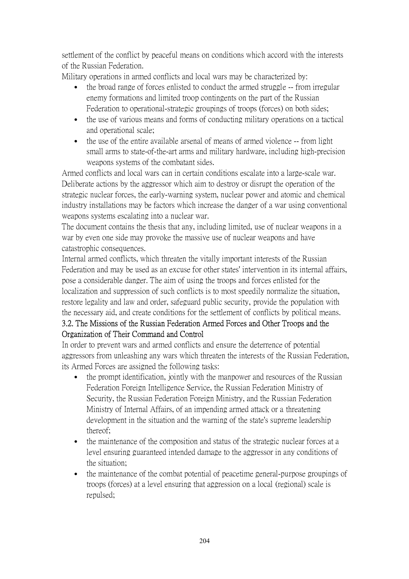settlement of the conflict by peaceful means on conditions which accord with the interests of the Russian Federation.

Military operations in armed conflicts and local wars may be characterized by:

- the broad range of forces enlisted to conduct the armed struggle -- from irregular enemy formations and limited troop contingents on the part of the Russian Federation to operational-strategic groupings of troops (forces) on both sides;
- the use of various means and forms of conducting military operations on a tactical and operational scale;
- the use of the entire available arsenal of means of armed violence -- from light small arms to state-of-the-art arms and military hardware, including high-precision weapons systems of the combatant sides.

Armed conflicts and local wars can in certain conditions escalate into a large-scale war. Deliberate actions by the aggressor which aim to destroy or disrupt the operation of the strategic nuclear forces, the early-warning system, nuclear power and atomic and chemical industry installations may be factors which increase the danger of a war using conventional weapons systems escalating into a nuclear war.

The document contains the thesis that any, including limited, use of nuclear weapons in a war by even one side may provoke the massive use of nuclear weapons and have catastrophic consequences.

Internal armed conflicts, which threaten the vitally important interests of the Russian Federation and may be used as an excuse for other states' intervention in its internal affairs, pose a considerable danger. The aim of using the troops and forces enlisted for the localization and suppression of such conflicts is to most speedily normalize the situation, restore legality and law and order, safeguard public security, provide the population with the necessary aid, and create conditions for the settlement of conflicts by political means.

# 3.2. The Missions of the Russian Federation Armed Forces and Other Troops and the Organization of Their Command and Control

In order to prevent wars and armed conflicts and ensure the deterrence of potential aggressors from unleashing any wars which threaten the interests of the Russian Federation, its Armed Forces are assigned the following tasks:

- the prompt identification, jointly with the manpower and resources of the Russian Federation Foreign Intelligence Service, the Russian Federation Ministry of Security, the Russian Federation Foreign Ministry, and the Russian Federation Ministry of Internal Affairs, of an impending armed attack or a threatening development in the situation and the warning of the state's supreme leadership thereof;
- the maintenance of the composition and status of the strategic nuclear forces at a level ensuring guaranteed intended damage to the aggressor in any conditions of the situation;
- the maintenance of the combat potential of peacetime general-purpose groupings of troops (forces) at a level ensuring that aggression on a local (regional) scale is repulsed;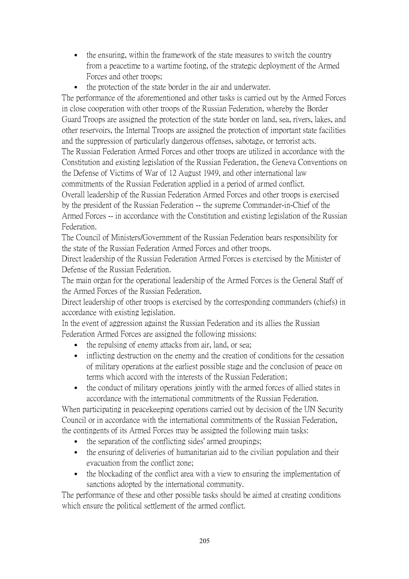- the ensuring, within the framework of the state measures to switch the country from a peacetime to a wartime footing, of the strategic deployment of the Armed Forces and other troops;
- the protection of the state border in the air and underwater.

The performance of the aforementioned and other tasks is carried out by the Armed Forces in close cooperation with other troops of the Russian Federation, whereby the Border Guard Troops are assigned the protection of the state border on land, sea, rivers, lakes, and other reservoirs, the Internal Troops are assigned the protection of important state facilities and the suppression of particularly dangerous offenses, sabotage, or terrorist acts.

The Russian Federation Armed Forces and other troops are utilized in accordance with the Constitution and existing legislation of the Russian Federation, the Geneva Conventions on the Defense of Victims of War of 12 August 1949, and other international law commitments of the Russian Federation applied in a period of armed conflict.

Overall leadership of the Russian Federation Armed Forces and other troops is exercised by the president of the Russian Federation -- the supreme Commander-in-Chief of the Armed Forces -- in accordance with the Constitution and existing legislation of the Russian Federation.

The Council of Ministers/Government of the Russian Federation bears responsibility for the state of the Russian Federation Armed Forces and other troops.

Direct leadership of the Russian Federation Armed Forces is exercised by the Minister of Defense of the Russian Federation.

The main organ for the operational leadership of the Armed Forces is the General Staff of the Armed Forces of the Russian Federation.

Direct leadership of other troops is exercised by the corresponding commanders (chiefs) in accordance with existing legislation.

In the event of aggression against the Russian Federation and its allies the Russian Federation Armed Forces are assigned the following missions:

- the repulsing of enemy attacks from air, land, or sea;
- inflicting destruction on the enemy and the creation of conditions for the cessation of military operations at the earliest possible stage and the conclusion of peace on terms which accord with the interests of the Russian Federation;
- the conduct of military operations jointly with the armed forces of allied states in accordance with the international commitments of the Russian Federation.

When participating in peacekeeping operations carried out by decision of the UN Security Council or in accordance with the international commitments of the Russian Federation, the contingents of its Armed Forces may be assigned the following main tasks:

- the separation of the conflicting sides' armed groupings;
- the ensuring of deliveries of humanitarian aid to the civilian population and their evacuation from the conflict zone;
- the blockading of the conflict area with a view to ensuring the implementation of sanctions adopted by the international community.

The performance of these and other possible tasks should be aimed at creating conditions which ensure the political settlement of the armed conflict.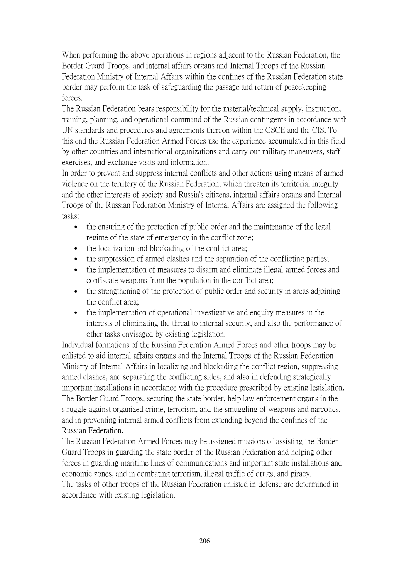When performing the above operations in regions adjacent to the Russian Federation, the Border Guard Troops, and internal affairs organs and Internal Troops of the Russian Federation Ministry of Internal Affairs within the confines of the Russian Federation state border may perform the task of safeguarding the passage and return of peacekeeping forces.

The Russian Federation bears responsibility for the material/technical supply, instruction, training, planning, and operational command of the Russian contingents in accordance with UN standards and procedures and agreements thereon within the CSCE and the CIS. To this end the Russian Federation Armed Forces use the experience accumulated in this field by other countries and international organizations and carry out military maneuvers, staff exercises, and exchange visits and information.

In order to prevent and suppress internal conflicts and other actions using means of armed violence on the territory of the Russian Federation, which threaten its territorial integrity and the other interests of society and Russia's citizens, internal affairs organs and Internal Troops of the Russian Federation Ministry of Internal Affairs are assigned the following tasks:

- the ensuring of the protection of public order and the maintenance of the legal regime of the state of emergency in the conflict zone;
- the localization and blockading of the conflict area;
- the suppression of armed clashes and the separation of the conflicting parties;
- the implementation of measures to disarm and eliminate illegal armed forces and confiscate weapons from the population in the conflict area;
- the strengthening of the protection of public order and security in areas adjoining the conflict area;
- the implementation of operational-investigative and enquiry measures in the interests of eliminating the threat to internal security, and also the performance of other tasks envisaged by existing legislation.

Individual formations of the Russian Federation Armed Forces and other troops may be enlisted to aid internal affairs organs and the Internal Troops of the Russian Federation Ministry of Internal Affairs in localizing and blockading the conflict region, suppressing armed clashes, and separating the conflicting sides, and also in defending strategically important installations in accordance with the procedure prescribed by existing legislation. The Border Guard Troops, securing the state border, help law enforcement organs in the struggle against organized crime, terrorism, and the smuggling of weapons and narcotics, and in preventing internal armed conflicts from extending beyond the confines of the Russian Federation.

The Russian Federation Armed Forces may be assigned missions of assisting the Border Guard Troops in guarding the state border of the Russian Federation and helping other forces in guarding maritime lines of communications and important state installations and economic zones, and in combating terrorism, illegal traffic of drugs, and piracy. The tasks of other troops of the Russian Federation enlisted in defense are determined in accordance with existing legislation.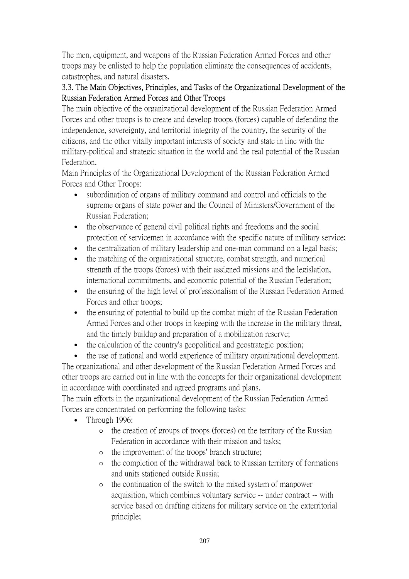The men, equipment, and weapons of the Russian Federation Armed Forces and other troops may be enlisted to help the population eliminate the consequences of accidents, catastrophes, and natural disasters.

## 3.3. The Main Objectives, Principles, and Tasks of the Organizational Development of the Russian Federation Armed Forces and Other Troops

The main objective of the organizational development of the Russian Federation Armed Forces and other troops is to create and develop troops (forces) capable of defending the independence, sovereignty, and territorial integrity of the country, the security of the citizens, and the other vitally important interests of society and state in line with the military-political and strategic situation in the world and the real potential of the Russian Federation.

Main Principles of the Organizational Development of the Russian Federation Armed Forces and Other Troops:

- subordination of organs of military command and control and officials to the supreme organs of state power and the Council of Ministers/Government of the Russian Federation;
- the observance of general civil political rights and freedoms and the social protection of servicemen in accordance with the specific nature of military service;
- the centralization of military leadership and one-man command on a legal basis;
- the matching of the organizational structure, combat strength, and numerical strength of the troops (forces) with their assigned missions and the legislation, international commitments, and economic potential of the Russian Federation;
- the ensuring of the high level of professionalism of the Russian Federation Armed Forces and other troops;
- the ensuring of potential to build up the combat might of the Russian Federation Armed Forces and other troops in keeping with the increase in the military threat, and the timely buildup and preparation of a mobilization reserve;
- the calculation of the country's geopolitical and geostrategic position;
- the use of national and world experience of military organizational development.

The organizational and other development of the Russian Federation Armed Forces and other troops are carried out in line with the concepts for their organizational development in accordance with coordinated and agreed programs and plans.

The main efforts in the organizational development of the Russian Federation Armed Forces are concentrated on performing the following tasks:

- Through 1996:
	- o the creation of groups of troops (forces) on the territory of the Russian Federation in accordance with their mission and tasks;
	- o the improvement of the troops' branch structure;
	- o the completion of the withdrawal back to Russian territory of formations and units stationed outside Russia;
	- o the continuation of the switch to the mixed system of manpower acquisition, which combines voluntary service -- under contract -- with service based on drafting citizens for military service on the exterritorial principle;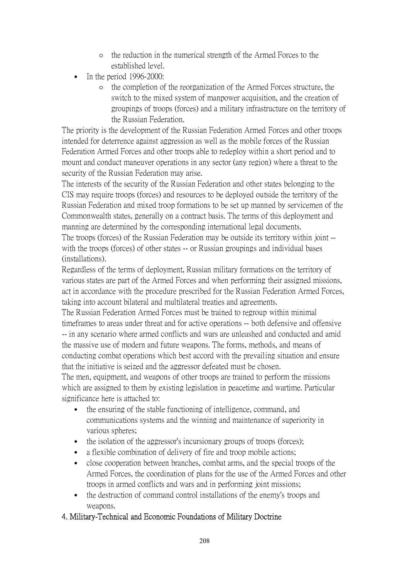- o the reduction in the numerical strength of the Armed Forces to the established level.
- In the period 1996-2000:
	- o the completion of the reorganization of the Armed Forces structure, the switch to the mixed system of manpower acquisition, and the creation of groupings of troops (forces) and a military infrastructure on the territory of the Russian Federation.

The priority is the development of the Russian Federation Armed Forces and other troops intended for deterrence against aggression as well as the mobile forces of the Russian Federation Armed Forces and other troops able to redeploy within a short period and to mount and conduct maneuver operations in any sector (any region) where a threat to the security of the Russian Federation may arise.

The interests of the security of the Russian Federation and other states belonging to the CIS may require troops (forces) and resources to be deployed outside the territory of the Russian Federation and mixed troop formations to be set up manned by servicemen of the Commonwealth states, generally on a contract basis. The terms of this deployment and manning are determined by the corresponding international legal documents.

The troops (forces) of the Russian Federation may be outside its territory within joint - with the troops (forces) of other states -- or Russian groupings and individual bases (installations).

Regardless of the terms of deployment, Russian military formations on the territory of various states are part of the Armed Forces and when performing their assigned missions, act in accordance with the procedure prescribed for the Russian Federation Armed Forces, taking into account bilateral and multilateral treaties and agreements.

The Russian Federation Armed Forces must be trained to regroup within minimal timeframes to areas under threat and for active operations -- both defensive and offensive -- in any scenario where armed conflicts and wars are unleashed and conducted and amid the massive use of modern and future weapons. The forms, methods, and means of conducting combat operations which best accord with the prevailing situation and ensure that the initiative is seized and the aggressor defeated must be chosen.

The men, equipment, and weapons of other troops are trained to perform the missions which are assigned to them by existing legislation in peacetime and wartime. Particular significance here is attached to:

- the ensuring of the stable functioning of intelligence, command, and communications systems and the winning and maintenance of superiority in various spheres;
- the isolation of the aggressor's incursionary groups of troops (forces);
- a flexible combination of delivery of fire and troop mobile actions;
- close cooperation between branches, combat arms, and the special troops of the Armed Forces, the coordination of plans for the use of the Armed Forces and other troops in armed conflicts and wars and in performing joint missions;
- the destruction of command control installations of the enemy's troops and weapons.

## 4. Military-Technical and Economic Foundations of Military Doctrine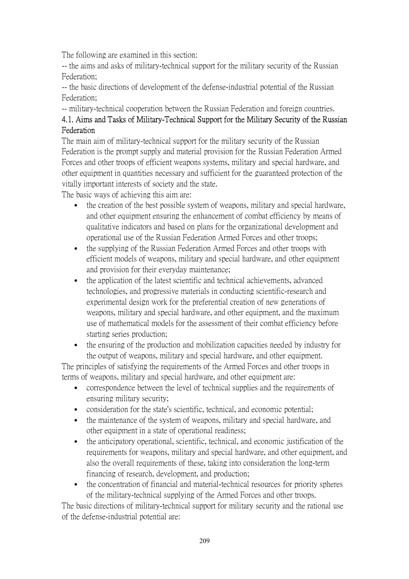The following are examined in this section:

-- the aims and asks of military-technical support for the military security of the Russian Federation;

-- the basic directions of development of the defense-industrial potential of the Russian Federation;

-- military-technical cooperation between the Russian Federation and foreign countries.

# 4.1. Aims and Tasks of Military-Technical Support for the Military Security of the Russian Federation

The main aim of military-technical support for the military security of the Russian Federation is the prompt supply and material provision for the Russian Federation Armed Forces and other troops of efficient weapons systems, military and special hardware, and other equipment in quantities necessary and sufficient for the guaranteed protection of the vitally important interests of society and the state.

The basic ways of achieving this aim are:

- the creation of the best possible system of weapons, military and special hardware, and other equipment ensuring the enhancement of combat efficiency by means of qualitative indicators and based on plans for the organizational development and operational use of the Russian Federation Armed Forces and other troops;
- the supplying of the Russian Federation Armed Forces and other troops with efficient models of weapons, military and special hardware, and other equipment and provision for their everyday maintenance;
- the application of the latest scientific and technical achievements, advanced technologies, and progressive materials in conducting scientific-research and experimental design work for the preferential creation of new generations of weapons, military and special hardware, and other equipment, and the maximum use of mathematical models for the assessment of their combat efficiency before starting series production;
- the ensuring of the production and mobilization capacities needed by industry for the output of weapons, military and special hardware, and other equipment.

The principles of satisfying the requirements of the Armed Forces and other troops in terms of weapons, military and special hardware, and other equipment are:

- correspondence between the level of technical supplies and the requirements of ensuring military security;
- consideration for the state's scientific, technical, and economic potential;
- the maintenance of the system of weapons, military and special hardware, and other equipment in a state of operational readiness;
- the anticipatory operational, scientific, technical, and economic justification of the requirements for weapons, military and special hardware, and other equipment, and also the overall requirements of these, taking into consideration the long-term financing of research, development, and production;
- the concentration of financial and material-technical resources for priority spheres of the military-technical supplying of the Armed Forces and other troops.

The basic directions of military-technical support for military security and the rational use of the defense-industrial potential are: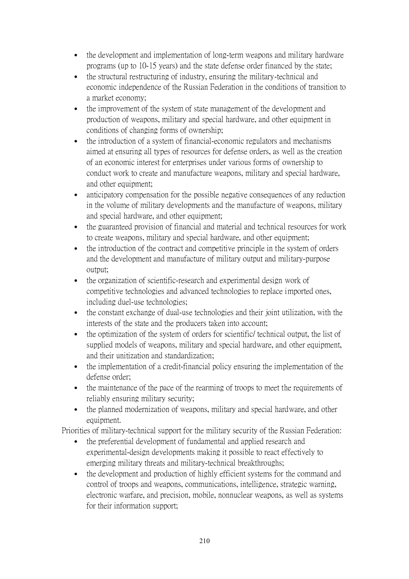- the development and implementation of long-term weapons and military hardware programs (up to 10-15 years) and the state defense order financed by the state;
- the structural restructuring of industry, ensuring the military-technical and economic independence of the Russian Federation in the conditions of transition to a market economy;
- the improvement of the system of state management of the development and production of weapons, military and special hardware, and other equipment in conditions of changing forms of ownership;
- the introduction of a system of financial-economic regulators and mechanisms aimed at ensuring all types of resources for defense orders, as well as the creation of an economic interest for enterprises under various forms of ownership to conduct work to create and manufacture weapons, military and special hardware, and other equipment;
- anticipatory compensation for the possible negative consequences of any reduction in the volume of military developments and the manufacture of weapons, military and special hardware, and other equipment;
- the guaranteed provision of financial and material and technical resources for work to create weapons, military and special hardware, and other equipment;
- the introduction of the contract and competitive principle in the system of orders and the development and manufacture of military output and military-purpose output:
- the organization of scientific-research and experimental design work of competitive technologies and advanced technologies to replace imported ones, including duel-use technologies;
- the constant exchange of dual-use technologies and their joint utilization, with the interests of the state and the producers taken into account;
- the optimization of the system of orders for scientific/ technical output, the list of supplied models of weapons, military and special hardware, and other equipment, and their unitization and standardization;
- the implementation of a credit-financial policy ensuring the implementation of the defense order;
- the maintenance of the pace of the rearming of troops to meet the requirements of reliably ensuring military security;
- the planned modernization of weapons, military and special hardware, and other equipment.

Priorities of military-technical support for the military security of the Russian Federation:

- the preferential development of fundamental and applied research and experimental-design developments making it possible to react effectively to emerging military threats and military-technical breakthroughs;
- the development and production of highly efficient systems for the command and control of troops and weapons, communications, intelligence, strategic warning, electronic warfare, and precision, mobile, nonnuclear weapons, as well as systems for their information support;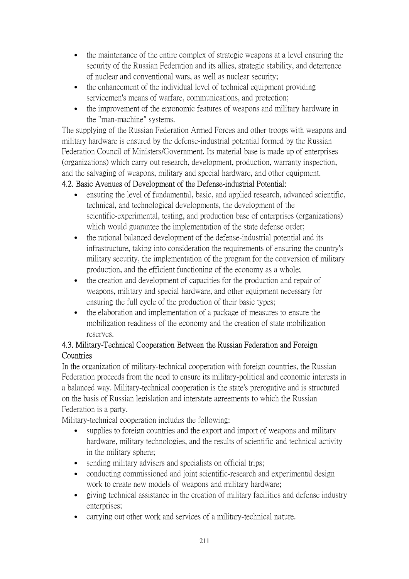- the maintenance of the entire complex of strategic weapons at a level ensuring the security of the Russian Federation and its allies, strategic stability, and deterrence of nuclear and conventional wars, as well as nuclear security;
- the enhancement of the individual level of technical equipment providing servicemen's means of warfare, communications, and protection;
- the improvement of the ergonomic features of weapons and military hardware in the "man-machine" systems.

The supplying of the Russian Federation Armed Forces and other troops with weapons and military hardware is ensured by the defense-industrial potential formed by the Russian Federation Council of Ministers/Government. Its material base is made up of enterprises (organizations) which carry out research, development, production, warranty inspection, and the salvaging of weapons, military and special hardware, and other equipment.

# 4.2. Basic Avenues of Development of the Defense-industrial Potential:

- ensuring the level of fundamental, basic, and applied research, advanced scientific, technical, and technological developments, the development of the scientific-experimental, testing, and production base of enterprises (organizations) which would guarantee the implementation of the state defense order;
- the rational balanced development of the defense-industrial potential and its infrastructure, taking into consideration the requirements of ensuring the country's military security, the implementation of the program for the conversion of military production, and the efficient functioning of the economy as a whole;
- the creation and development of capacities for the production and repair of weapons, military and special hardware, and other equipment necessary for ensuring the full cycle of the production of their basic types;
- the elaboration and implementation of a package of measures to ensure the mobilization readiness of the economy and the creation of state mobilization reserves.

# 4.3. Military-Technical Cooperation Between the Russian Federation and Foreign **Countries**

In the organization of military-technical cooperation with foreign countries, the Russian Federation proceeds from the need to ensure its military-political and economic interests in a balanced way. Military-technical cooperation is the state's prerogative and is structured on the basis of Russian legislation and interstate agreements to which the Russian Federation is a party.

Military-technical cooperation includes the following:

- supplies to foreign countries and the export and import of weapons and military hardware, military technologies, and the results of scientific and technical activity in the military sphere;
- sending military advisers and specialists on official trips;
- conducting commissioned and joint scientific-research and experimental design work to create new models of weapons and military hardware;
- giving technical assistance in the creation of military facilities and defense industry enterprises;
- carrying out other work and services of a military-technical nature.